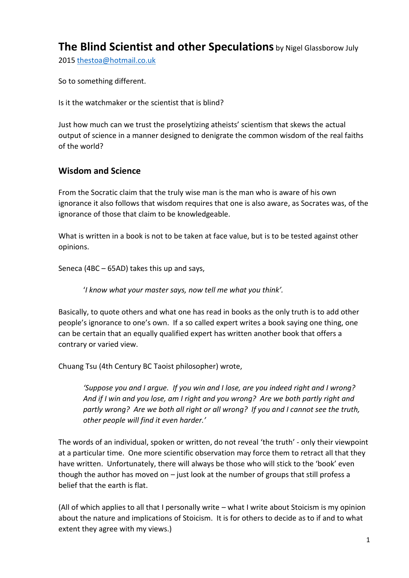# **The Blind Scientist and other Speculations** by Nigel Glassborow July

2015 [thestoa@hotmail.co.uk](mailto:thestoa@hotmail.co.uk)

So to something different.

Is it the watchmaker or the scientist that is blind?

Just how much can we trust the proselytizing atheists' scientism that skews the actual output of science in a manner designed to denigrate the common wisdom of the real faiths of the world?

#### **Wisdom and Science**

From the Socratic claim that the truly wise man is the man who is aware of his own ignorance it also follows that wisdom requires that one is also aware, as Socrates was, of the ignorance of those that claim to be knowledgeable.

What is written in a book is not to be taken at face value, but is to be tested against other opinions.

Seneca (4BC – 65AD) takes this up and says,

'*I know what your master says, now tell me what you think'.* 

Basically, to quote others and what one has read in books as the only truth is to add other people's ignorance to one's own. If a so called expert writes a book saying one thing, one can be certain that an equally qualified expert has written another book that offers a contrary or varied view.

Chuang Tsu (4th Century BC Taoist philosopher) wrote,

*'Suppose you and I argue. If you win and I lose, are you indeed right and I wrong? And if I win and you lose, am I right and you wrong? Are we both partly right and partly wrong? Are we both all right or all wrong? If you and I cannot see the truth, other people will find it even harder.'*

The words of an individual, spoken or written, do not reveal 'the truth' - only their viewpoint at a particular time. One more scientific observation may force them to retract all that they have written. Unfortunately, there will always be those who will stick to the 'book' even though the author has moved on  $-$  just look at the number of groups that still profess a belief that the earth is flat.

(All of which applies to all that I personally write – what I write about Stoicism is my opinion about the nature and implications of Stoicism. It is for others to decide as to if and to what extent they agree with my views.)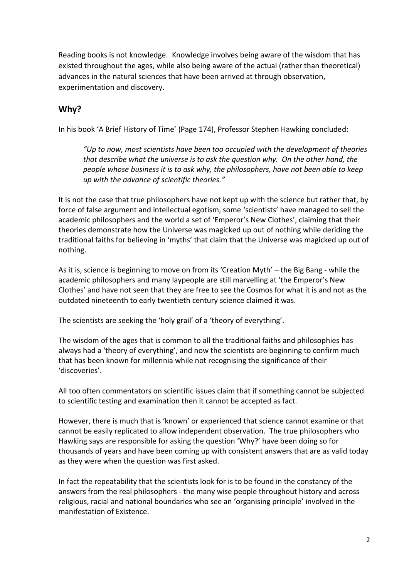Reading books is not knowledge. Knowledge involves being aware of the wisdom that has existed throughout the ages, while also being aware of the actual (rather than theoretical) advances in the natural sciences that have been arrived at through observation, experimentation and discovery.

### **Why?**

In his book 'A Brief History of Time' (Page 174), Professor Stephen Hawking concluded:

*"Up to now, most scientists have been too occupied with the development of theories that describe what the universe is to ask the question why. On the other hand, the people whose business it is to ask why, the philosophers, have not been able to keep up with the advance of scientific theories."* 

It is not the case that true philosophers have not kept up with the science but rather that, by force of false argument and intellectual egotism, some 'scientists' have managed to sell the academic philosophers and the world a set of 'Emperor's New Clothes', claiming that their theories demonstrate how the Universe was magicked up out of nothing while deriding the traditional faiths for believing in 'myths' that claim that the Universe was magicked up out of nothing.

As it is, science is beginning to move on from its 'Creation Myth' – the Big Bang - while the academic philosophers and many laypeople are still marvelling at 'the Emperor's New Clothes' and have not seen that they are free to see the Cosmos for what it is and not as the outdated nineteenth to early twentieth century science claimed it was.

The scientists are seeking the 'holy grail' of a 'theory of everything'.

The wisdom of the ages that is common to all the traditional faiths and philosophies has always had a 'theory of everything', and now the scientists are beginning to confirm much that has been known for millennia while not recognising the significance of their 'discoveries'.

All too often commentators on scientific issues claim that if something cannot be subjected to scientific testing and examination then it cannot be accepted as fact.

However, there is much that is 'known' or experienced that science cannot examine or that cannot be easily replicated to allow independent observation. The true philosophers who Hawking says are responsible for asking the question 'Why?' have been doing so for thousands of years and have been coming up with consistent answers that are as valid today as they were when the question was first asked.

In fact the repeatability that the scientists look for is to be found in the constancy of the answers from the real philosophers - the many wise people throughout history and across religious, racial and national boundaries who see an 'organising principle' involved in the manifestation of Existence.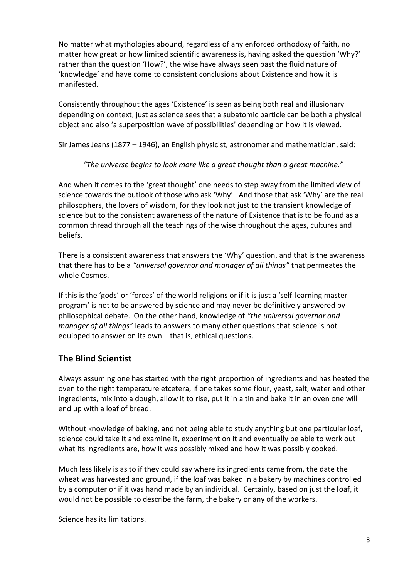No matter what mythologies abound, regardless of any enforced orthodoxy of faith, no matter how great or how limited scientific awareness is, having asked the question 'Why?' rather than the question 'How?', the wise have always seen past the fluid nature of 'knowledge' and have come to consistent conclusions about Existence and how it is manifested.

Consistently throughout the ages 'Existence' is seen as being both real and illusionary depending on context, just as science sees that a subatomic particle can be both a physical object and also 'a superposition wave of possibilities' depending on how it is viewed.

Sir James Jeans (1877 – 1946), an English physicist, astronomer and mathematician, said:

#### *"The universe begins to look more like a great thought than a great machine."*

And when it comes to the 'great thought' one needs to step away from the limited view of science towards the outlook of those who ask 'Why'. And those that ask 'Why' are the real philosophers, the lovers of wisdom, for they look not just to the transient knowledge of science but to the consistent awareness of the nature of Existence that is to be found as a common thread through all the teachings of the wise throughout the ages, cultures and beliefs.

There is a consistent awareness that answers the 'Why' question, and that is the awareness that there has to be a *"universal governor and manager of all things"* that permeates the whole Cosmos.

If this is the 'gods' or 'forces' of the world religions or if it is just a 'self-learning master program' is not to be answered by science and may never be definitively answered by philosophical debate. On the other hand, knowledge of *"the universal governor and manager of all things"* leads to answers to many other questions that science is not equipped to answer on its own – that is, ethical questions.

### **The Blind Scientist**

Always assuming one has started with the right proportion of ingredients and has heated the oven to the right temperature etcetera, if one takes some flour, yeast, salt, water and other ingredients, mix into a dough, allow it to rise, put it in a tin and bake it in an oven one will end up with a loaf of bread.

Without knowledge of baking, and not being able to study anything but one particular loaf, science could take it and examine it, experiment on it and eventually be able to work out what its ingredients are, how it was possibly mixed and how it was possibly cooked.

Much less likely is as to if they could say where its ingredients came from, the date the wheat was harvested and ground, if the loaf was baked in a bakery by machines controlled by a computer or if it was hand made by an individual. Certainly, based on just the loaf, it would not be possible to describe the farm, the bakery or any of the workers.

Science has its limitations.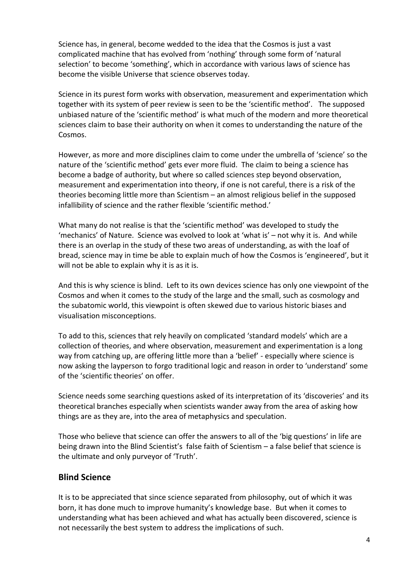Science has, in general, become wedded to the idea that the Cosmos is just a vast complicated machine that has evolved from 'nothing' through some form of 'natural selection' to become 'something', which in accordance with various laws of science has become the visible Universe that science observes today.

Science in its purest form works with observation, measurement and experimentation which together with its system of peer review is seen to be the 'scientific method'. The supposed unbiased nature of the 'scientific method' is what much of the modern and more theoretical sciences claim to base their authority on when it comes to understanding the nature of the Cosmos.

However, as more and more disciplines claim to come under the umbrella of 'science' so the nature of the 'scientific method' gets ever more fluid. The claim to being a science has become a badge of authority, but where so called sciences step beyond observation, measurement and experimentation into theory, if one is not careful, there is a risk of the theories becoming little more than Scientism – an almost religious belief in the supposed infallibility of science and the rather flexible 'scientific method.'

What many do not realise is that the 'scientific method' was developed to study the 'mechanics' of Nature. Science was evolved to look at 'what is' – not why it is. And while there is an overlap in the study of these two areas of understanding, as with the loaf of bread, science may in time be able to explain much of how the Cosmos is 'engineered', but it will not be able to explain why it is as it is.

And this is why science is blind. Left to its own devices science has only one viewpoint of the Cosmos and when it comes to the study of the large and the small, such as cosmology and the subatomic world, this viewpoint is often skewed due to various historic biases and visualisation misconceptions.

To add to this, sciences that rely heavily on complicated 'standard models' which are a collection of theories, and where observation, measurement and experimentation is a long way from catching up, are offering little more than a 'belief' - especially where science is now asking the layperson to forgo traditional logic and reason in order to 'understand' some of the 'scientific theories' on offer.

Science needs some searching questions asked of its interpretation of its 'discoveries' and its theoretical branches especially when scientists wander away from the area of asking how things are as they are, into the area of metaphysics and speculation.

Those who believe that science can offer the answers to all of the 'big questions' in life are being drawn into the Blind Scientist's false faith of Scientism – a false belief that science is the ultimate and only purveyor of 'Truth'.

#### **Blind Science**

It is to be appreciated that since science separated from philosophy, out of which it was born, it has done much to improve humanity's knowledge base. But when it comes to understanding what has been achieved and what has actually been discovered, science is not necessarily the best system to address the implications of such.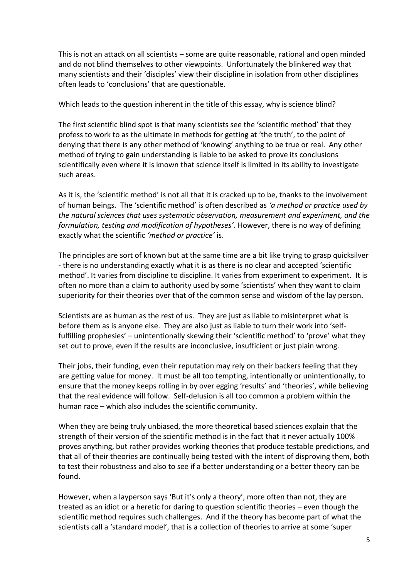This is not an attack on all scientists – some are quite reasonable, rational and open minded and do not blind themselves to other viewpoints. Unfortunately the blinkered way that many scientists and their 'disciples' view their discipline in isolation from other disciplines often leads to 'conclusions' that are questionable.

Which leads to the question inherent in the title of this essay, why is science blind?

The first scientific blind spot is that many scientists see the 'scientific method' that they profess to work to as the ultimate in methods for getting at 'the truth', to the point of denying that there is any other method of 'knowing' anything to be true or real. Any other method of trying to gain understanding is liable to be asked to prove its conclusions scientifically even where it is known that science itself is limited in its ability to investigate such areas.

As it is, the 'scientific method' is not all that it is cracked up to be, thanks to the involvement of human beings. The 'scientific method' is often described as *'a method or practice used by the natural sciences that uses systematic observation, measurement and experiment, and the formulation, testing and modification of hypotheses'*. However, there is no way of defining exactly what the scientific *'method or practice'* is.

The principles are sort of known but at the same time are a bit like trying to grasp quicksilver - there is no understanding exactly what it is as there is no clear and accepted 'scientific method'. It varies from discipline to discipline. It varies from experiment to experiment. It is often no more than a claim to authority used by some 'scientists' when they want to claim superiority for their theories over that of the common sense and wisdom of the lay person.

Scientists are as human as the rest of us. They are just as liable to misinterpret what is before them as is anyone else. They are also just as liable to turn their work into 'selffulfilling prophesies' – unintentionally skewing their 'scientific method' to 'prove' what they set out to prove, even if the results are inconclusive, insufficient or just plain wrong.

Their jobs, their funding, even their reputation may rely on their backers feeling that they are getting value for money. It must be all too tempting, intentionally or unintentionally, to ensure that the money keeps rolling in by over egging 'results' and 'theories', while believing that the real evidence will follow. Self-delusion is all too common a problem within the human race – which also includes the scientific community.

When they are being truly unbiased, the more theoretical based sciences explain that the strength of their version of the scientific method is in the fact that it never actually 100% proves anything, but rather provides working theories that produce testable predictions, and that all of their theories are continually being tested with the intent of disproving them, both to test their robustness and also to see if a better understanding or a better theory can be found.

However, when a layperson says 'But it's only a theory', more often than not, they are treated as an idiot or a heretic for daring to question scientific theories – even though the scientific method requires such challenges. And if the theory has become part of what the scientists call a 'standard model', that is a collection of theories to arrive at some 'super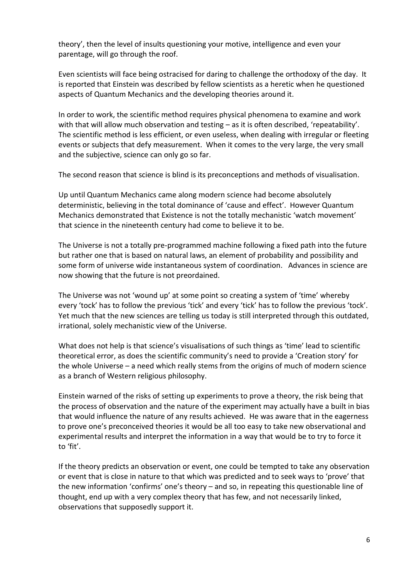theory', then the level of insults questioning your motive, intelligence and even your parentage, will go through the roof.

Even scientists will face being ostracised for daring to challenge the orthodoxy of the day. It is reported that Einstein was described by fellow scientists as a heretic when he questioned aspects of Quantum Mechanics and the developing theories around it.

In order to work, the scientific method requires physical phenomena to examine and work with that will allow much observation and testing – as it is often described, 'repeatability'. The scientific method is less efficient, or even useless, when dealing with irregular or fleeting events or subjects that defy measurement. When it comes to the very large, the very small and the subjective, science can only go so far.

The second reason that science is blind is its preconceptions and methods of visualisation.

Up until Quantum Mechanics came along modern science had become absolutely deterministic, believing in the total dominance of 'cause and effect'. However Quantum Mechanics demonstrated that Existence is not the totally mechanistic 'watch movement' that science in the nineteenth century had come to believe it to be.

The Universe is not a totally pre-programmed machine following a fixed path into the future but rather one that is based on natural laws, an element of probability and possibility and some form of universe wide instantaneous system of coordination. Advances in science are now showing that the future is not preordained.

The Universe was not 'wound up' at some point so creating a system of 'time' whereby every 'tock' has to follow the previous 'tick' and every 'tick' has to follow the previous 'tock'. Yet much that the new sciences are telling us today is still interpreted through this outdated, irrational, solely mechanistic view of the Universe.

What does not help is that science's visualisations of such things as 'time' lead to scientific theoretical error, as does the scientific community's need to provide a 'Creation story' for the whole Universe – a need which really stems from the origins of much of modern science as a branch of Western religious philosophy.

Einstein warned of the risks of setting up experiments to prove a theory, the risk being that the process of observation and the nature of the experiment may actually have a built in bias that would influence the nature of any results achieved. He was aware that in the eagerness to prove one's preconceived theories it would be all too easy to take new observational and experimental results and interpret the information in a way that would be to try to force it to 'fit'.

If the theory predicts an observation or event, one could be tempted to take any observation or event that is close in nature to that which was predicted and to seek ways to 'prove' that the new information 'confirms' one's theory – and so, in repeating this questionable line of thought, end up with a very complex theory that has few, and not necessarily linked, observations that supposedly support it.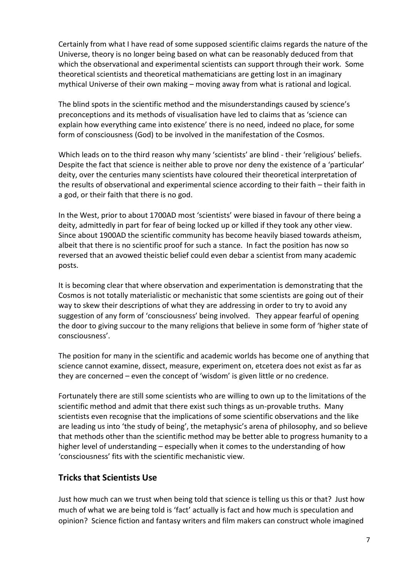Certainly from what I have read of some supposed scientific claims regards the nature of the Universe, theory is no longer being based on what can be reasonably deduced from that which the observational and experimental scientists can support through their work. Some theoretical scientists and theoretical mathematicians are getting lost in an imaginary mythical Universe of their own making – moving away from what is rational and logical.

The blind spots in the scientific method and the misunderstandings caused by science's preconceptions and its methods of visualisation have led to claims that as 'science can explain how everything came into existence' there is no need, indeed no place, for some form of consciousness (God) to be involved in the manifestation of the Cosmos.

Which leads on to the third reason why many 'scientists' are blind - their 'religious' beliefs. Despite the fact that science is neither able to prove nor deny the existence of a 'particular' deity, over the centuries many scientists have coloured their theoretical interpretation of the results of observational and experimental science according to their faith – their faith in a god, or their faith that there is no god.

In the West, prior to about 1700AD most 'scientists' were biased in favour of there being a deity, admittedly in part for fear of being locked up or killed if they took any other view. Since about 1900AD the scientific community has become heavily biased towards atheism, albeit that there is no scientific proof for such a stance. In fact the position has now so reversed that an avowed theistic belief could even debar a scientist from many academic posts.

It is becoming clear that where observation and experimentation is demonstrating that the Cosmos is not totally materialistic or mechanistic that some scientists are going out of their way to skew their descriptions of what they are addressing in order to try to avoid any suggestion of any form of 'consciousness' being involved. They appear fearful of opening the door to giving succour to the many religions that believe in some form of 'higher state of consciousness'.

The position for many in the scientific and academic worlds has become one of anything that science cannot examine, dissect, measure, experiment on, etcetera does not exist as far as they are concerned – even the concept of 'wisdom' is given little or no credence.

Fortunately there are still some scientists who are willing to own up to the limitations of the scientific method and admit that there exist such things as un-provable truths. Many scientists even recognise that the implications of some scientific observations and the like are leading us into 'the study of being', the metaphysic's arena of philosophy, and so believe that methods other than the scientific method may be better able to progress humanity to a higher level of understanding – especially when it comes to the understanding of how 'consciousness' fits with the scientific mechanistic view.

### **Tricks that Scientists Use**

Just how much can we trust when being told that science is telling us this or that? Just how much of what we are being told is 'fact' actually is fact and how much is speculation and opinion? Science fiction and fantasy writers and film makers can construct whole imagined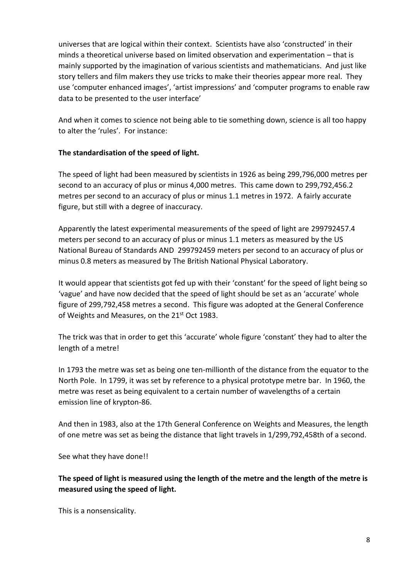universes that are logical within their context. Scientists have also 'constructed' in their minds a theoretical universe based on limited observation and experimentation – that is mainly supported by the imagination of various scientists and mathematicians. And just like story tellers and film makers they use tricks to make their theories appear more real. They use 'computer enhanced images', 'artist impressions' and 'computer programs to enable raw data to be presented to the user interface'

And when it comes to science not being able to tie something down, science is all too happy to alter the 'rules'. For instance:

#### **The standardisation of the speed of light.**

The speed of light had been measured by scientists in 1926 as being 299,796,000 metres per second to an accuracy of plus or minus 4,000 metres. This came down to 299,792,456.2 metres per second to an accuracy of plus or minus 1.1 metres in 1972. A fairly accurate figure, but still with a degree of inaccuracy.

Apparently the latest experimental measurements of the speed of light are 299792457.4 meters per second to an accuracy of plus or minus 1.1 meters as measured by the US National Bureau of Standards AND 299792459 meters per second to an accuracy of plus or minus 0.8 meters as measured by The British National Physical Laboratory.

It would appear that scientists got fed up with their 'constant' for the speed of light being so 'vague' and have now decided that the speed of light should be set as an 'accurate' whole figure of 299,792,458 metres a second. This figure was adopted at the General Conference of Weights and Measures, on the 21<sup>st</sup> Oct 1983.

The trick was that in order to get this 'accurate' whole figure 'constant' they had to alter the length of a metre!

In 1793 the metre was set as being one ten-millionth of the distance from the equator to the North Pole. In 1799, it was set by reference to a physical prototype metre bar. In 1960, the metre was reset as being equivalent to a certain number of wavelengths of a certain emission line of krypton-86.

And then in 1983, also at the 17th General Conference on Weights and Measures, the length of one metre was set as being the distance that light travels in 1/299,792,458th of a second.

See what they have done!!

**The speed of light is measured using the length of the metre and the length of the metre is measured using the speed of light.**

This is a nonsensicality.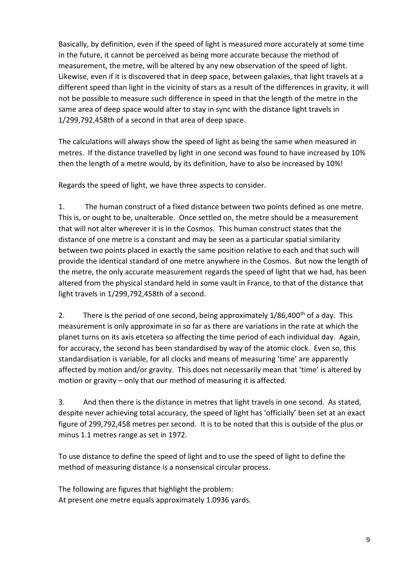Basically, by definition, even if the speed of light is measured more accurately at some time in the future, it cannot be perceived as being more accurate because the method of measurement, the metre, will be altered by any new observation of the speed of light. Likewise, even if it is discovered that in deep space, between galaxies, that light travels at a different speed than light in the vicinity of stars as a result of the differences in gravity, it will not be possible to measure such difference in speed in that the length of the metre in the same area of deep space would alter to stay in sync with the distance light travels in 1/299,792,458th of a second in that area of deep space.

The calculations will always show the speed of light as being the same when measured in metres. If the distance travelled by light in one second was found to have increased by 10% then the length of a metre would, by its definition, have to also be increased by 10%!

Regards the speed of light, we have three aspects to consider.

1. The human construct of a fixed distance between two points defined as one metre. This is, or ought to be, unalterable. Once settled on, the metre should be a measurement that will not alter wherever it is in the Cosmos. This human construct states that the distance of one metre is a constant and may be seen as a particular spatial similarity between two points placed in exactly the same position relative to each and that such will provide the identical standard of one metre anywhere in the Cosmos. But now the length of the metre, the only accurate measurement regards the speed of light that we had, has been altered from the physical standard held in some vault in France, to that of the distance that light travels in 1/299,792,458th of a second.

2. There is the period of one second, being approximately  $1/86,400$ <sup>th</sup> of a day. This measurement is only approximate in so far as there are variations in the rate at which the planet turns on its axis etcetera so affecting the time period of each individual day. Again, for accuracy, the second has been standardised by way of the atomic clock. Even so, this standardisation is variable, for all clocks and means of measuring 'time' are apparently affected by motion and/or gravity. This does not necessarily mean that 'time' is altered by motion or gravity – only that our method of measuring it is affected.

3. And then there is the distance in metres that light travels in one second. As stated, despite never achieving total accuracy, the speed of light has 'officially' been set at an exact figure of 299,792,458 metres per second. It is to be noted that this is outside of the plus or minus 1.1 metres range as set in 1972.

To use distance to define the speed of light and to use the speed of light to define the method of measuring distance is a nonsensical circular process.

The following are figures that highlight the problem: At present one metre equals approximately 1.0936 yards.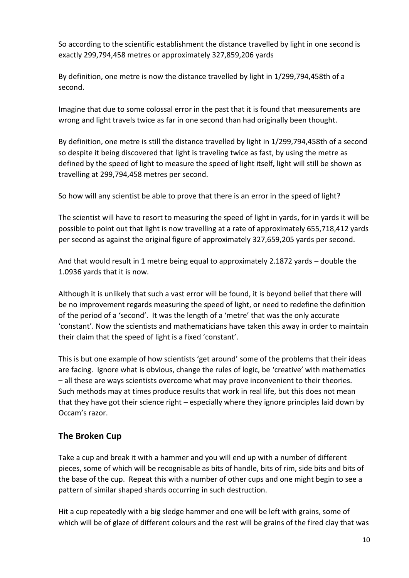So according to the scientific establishment the distance travelled by light in one second is exactly 299,794,458 metres or approximately 327,859,206 yards

By definition, one metre is now the distance travelled by light in 1/299,794,458th of a second.

Imagine that due to some colossal error in the past that it is found that measurements are wrong and light travels twice as far in one second than had originally been thought.

By definition, one metre is still the distance travelled by light in 1/299,794,458th of a second so despite it being discovered that light is traveling twice as fast, by using the metre as defined by the speed of light to measure the speed of light itself, light will still be shown as travelling at 299,794,458 metres per second.

So how will any scientist be able to prove that there is an error in the speed of light?

The scientist will have to resort to measuring the speed of light in yards, for in yards it will be possible to point out that light is now travelling at a rate of approximately 655,718,412 yards per second as against the original figure of approximately 327,659,205 yards per second.

And that would result in 1 metre being equal to approximately 2.1872 yards – double the 1.0936 yards that it is now.

Although it is unlikely that such a vast error will be found, it is beyond belief that there will be no improvement regards measuring the speed of light, or need to redefine the definition of the period of a 'second'. It was the length of a 'metre' that was the only accurate 'constant'. Now the scientists and mathematicians have taken this away in order to maintain their claim that the speed of light is a fixed 'constant'.

This is but one example of how scientists 'get around' some of the problems that their ideas are facing. Ignore what is obvious, change the rules of logic, be 'creative' with mathematics – all these are ways scientists overcome what may prove inconvenient to their theories. Such methods may at times produce results that work in real life, but this does not mean that they have got their science right – especially where they ignore principles laid down by Occam's razor.

# **The Broken Cup**

Take a cup and break it with a hammer and you will end up with a number of different pieces, some of which will be recognisable as bits of handle, bits of rim, side bits and bits of the base of the cup. Repeat this with a number of other cups and one might begin to see a pattern of similar shaped shards occurring in such destruction.

Hit a cup repeatedly with a big sledge hammer and one will be left with grains, some of which will be of glaze of different colours and the rest will be grains of the fired clay that was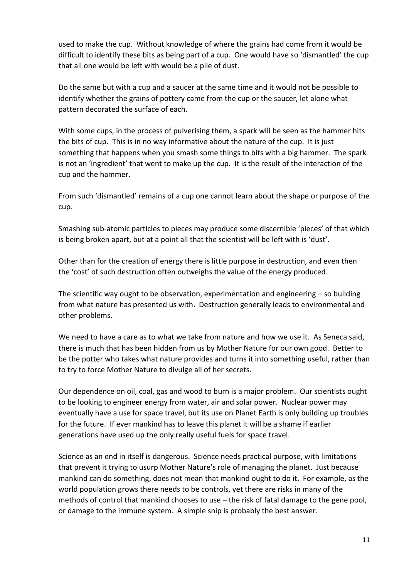used to make the cup. Without knowledge of where the grains had come from it would be difficult to identify these bits as being part of a cup. One would have so 'dismantled' the cup that all one would be left with would be a pile of dust.

Do the same but with a cup and a saucer at the same time and it would not be possible to identify whether the grains of pottery came from the cup or the saucer, let alone what pattern decorated the surface of each.

With some cups, in the process of pulverising them, a spark will be seen as the hammer hits the bits of cup. This is in no way informative about the nature of the cup. It is just something that happens when you smash some things to bits with a big hammer. The spark is not an 'ingredient' that went to make up the cup. It is the result of the interaction of the cup and the hammer.

From such 'dismantled' remains of a cup one cannot learn about the shape or purpose of the cup.

Smashing sub-atomic particles to pieces may produce some discernible 'pieces' of that which is being broken apart, but at a point all that the scientist will be left with is 'dust'.

Other than for the creation of energy there is little purpose in destruction, and even then the 'cost' of such destruction often outweighs the value of the energy produced.

The scientific way ought to be observation, experimentation and engineering – so building from what nature has presented us with. Destruction generally leads to environmental and other problems.

We need to have a care as to what we take from nature and how we use it. As Seneca said, there is much that has been hidden from us by Mother Nature for our own good. Better to be the potter who takes what nature provides and turns it into something useful, rather than to try to force Mother Nature to divulge all of her secrets.

Our dependence on oil, coal, gas and wood to burn is a major problem. Our scientists ought to be looking to engineer energy from water, air and solar power. Nuclear power may eventually have a use for space travel, but its use on Planet Earth is only building up troubles for the future. If ever mankind has to leave this planet it will be a shame if earlier generations have used up the only really useful fuels for space travel.

Science as an end in itself is dangerous. Science needs practical purpose, with limitations that prevent it trying to usurp Mother Nature's role of managing the planet. Just because mankind can do something, does not mean that mankind ought to do it. For example, as the world population grows there needs to be controls, yet there are risks in many of the methods of control that mankind chooses to use – the risk of fatal damage to the gene pool, or damage to the immune system. A simple snip is probably the best answer.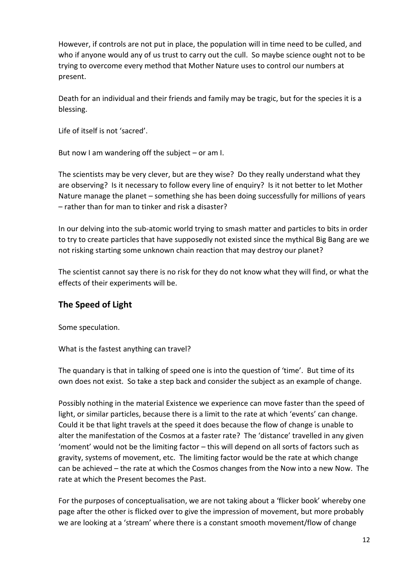However, if controls are not put in place, the population will in time need to be culled, and who if anyone would any of us trust to carry out the cull. So maybe science ought not to be trying to overcome every method that Mother Nature uses to control our numbers at present.

Death for an individual and their friends and family may be tragic, but for the species it is a blessing.

Life of itself is not 'sacred'.

But now I am wandering off the subject  $-$  or am I.

The scientists may be very clever, but are they wise? Do they really understand what they are observing? Is it necessary to follow every line of enquiry? Is it not better to let Mother Nature manage the planet – something she has been doing successfully for millions of years – rather than for man to tinker and risk a disaster?

In our delving into the sub-atomic world trying to smash matter and particles to bits in order to try to create particles that have supposedly not existed since the mythical Big Bang are we not risking starting some unknown chain reaction that may destroy our planet?

The scientist cannot say there is no risk for they do not know what they will find, or what the effects of their experiments will be.

### **The Speed of Light**

Some speculation.

What is the fastest anything can travel?

The quandary is that in talking of speed one is into the question of 'time'. But time of its own does not exist. So take a step back and consider the subject as an example of change.

Possibly nothing in the material Existence we experience can move faster than the speed of light, or similar particles, because there is a limit to the rate at which 'events' can change. Could it be that light travels at the speed it does because the flow of change is unable to alter the manifestation of the Cosmos at a faster rate? The 'distance' travelled in any given 'moment' would not be the limiting factor – this will depend on all sorts of factors such as gravity, systems of movement, etc. The limiting factor would be the rate at which change can be achieved – the rate at which the Cosmos changes from the Now into a new Now. The rate at which the Present becomes the Past.

For the purposes of conceptualisation, we are not taking about a 'flicker book' whereby one page after the other is flicked over to give the impression of movement, but more probably we are looking at a 'stream' where there is a constant smooth movement/flow of change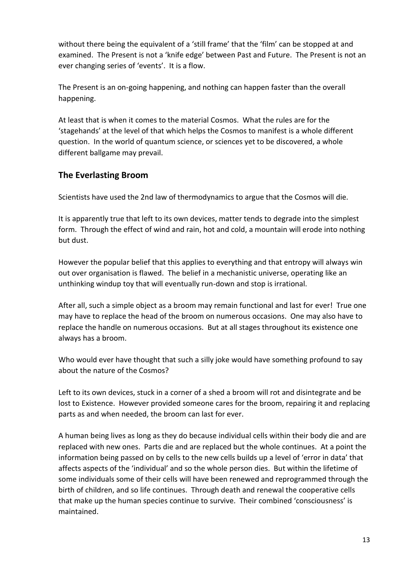without there being the equivalent of a 'still frame' that the 'film' can be stopped at and examined. The Present is not a 'knife edge' between Past and Future. The Present is not an ever changing series of 'events'. It is a flow.

The Present is an on-going happening, and nothing can happen faster than the overall happening.

At least that is when it comes to the material Cosmos. What the rules are for the 'stagehands' at the level of that which helps the Cosmos to manifest is a whole different question. In the world of quantum science, or sciences yet to be discovered, a whole different ballgame may prevail.

### **The Everlasting Broom**

Scientists have used the 2nd law of thermodynamics to argue that the Cosmos will die.

It is apparently true that left to its own devices, matter tends to degrade into the simplest form. Through the effect of wind and rain, hot and cold, a mountain will erode into nothing but dust.

However the popular belief that this applies to everything and that entropy will always win out over organisation is flawed. The belief in a mechanistic universe, operating like an unthinking windup toy that will eventually run-down and stop is irrational.

After all, such a simple object as a broom may remain functional and last for ever! True one may have to replace the head of the broom on numerous occasions. One may also have to replace the handle on numerous occasions. But at all stages throughout its existence one always has a broom.

Who would ever have thought that such a silly joke would have something profound to say about the nature of the Cosmos?

Left to its own devices, stuck in a corner of a shed a broom will rot and disintegrate and be lost to Existence. However provided someone cares for the broom, repairing it and replacing parts as and when needed, the broom can last for ever.

A human being lives as long as they do because individual cells within their body die and are replaced with new ones. Parts die and are replaced but the whole continues. At a point the information being passed on by cells to the new cells builds up a level of 'error in data' that affects aspects of the 'individual' and so the whole person dies. But within the lifetime of some individuals some of their cells will have been renewed and reprogrammed through the birth of children, and so life continues. Through death and renewal the cooperative cells that make up the human species continue to survive. Their combined 'consciousness' is maintained.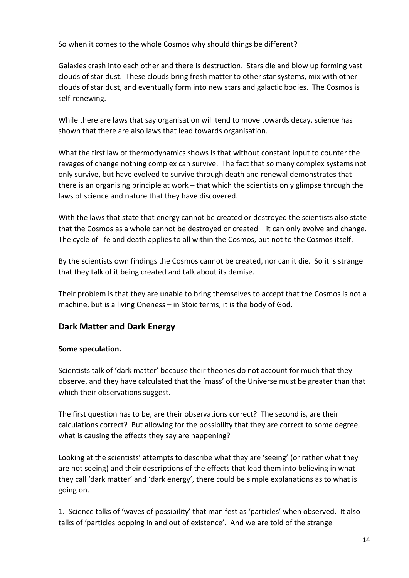So when it comes to the whole Cosmos why should things be different?

Galaxies crash into each other and there is destruction. Stars die and blow up forming vast clouds of star dust. These clouds bring fresh matter to other star systems, mix with other clouds of star dust, and eventually form into new stars and galactic bodies. The Cosmos is self-renewing.

While there are laws that say organisation will tend to move towards decay, science has shown that there are also laws that lead towards organisation.

What the first law of thermodynamics shows is that without constant input to counter the ravages of change nothing complex can survive. The fact that so many complex systems not only survive, but have evolved to survive through death and renewal demonstrates that there is an organising principle at work – that which the scientists only glimpse through the laws of science and nature that they have discovered.

With the laws that state that energy cannot be created or destroyed the scientists also state that the Cosmos as a whole cannot be destroyed or created – it can only evolve and change. The cycle of life and death applies to all within the Cosmos, but not to the Cosmos itself.

By the scientists own findings the Cosmos cannot be created, nor can it die. So it is strange that they talk of it being created and talk about its demise.

Their problem is that they are unable to bring themselves to accept that the Cosmos is not a machine, but is a living Oneness – in Stoic terms, it is the body of God.

# **Dark Matter and Dark Energy**

#### **Some speculation.**

Scientists talk of 'dark matter' because their theories do not account for much that they observe, and they have calculated that the 'mass' of the Universe must be greater than that which their observations suggest.

The first question has to be, are their observations correct? The second is, are their calculations correct? But allowing for the possibility that they are correct to some degree, what is causing the effects they say are happening?

Looking at the scientists' attempts to describe what they are 'seeing' (or rather what they are not seeing) and their descriptions of the effects that lead them into believing in what they call 'dark matter' and 'dark energy', there could be simple explanations as to what is going on.

1. Science talks of 'waves of possibility' that manifest as 'particles' when observed. It also talks of 'particles popping in and out of existence'. And we are told of the strange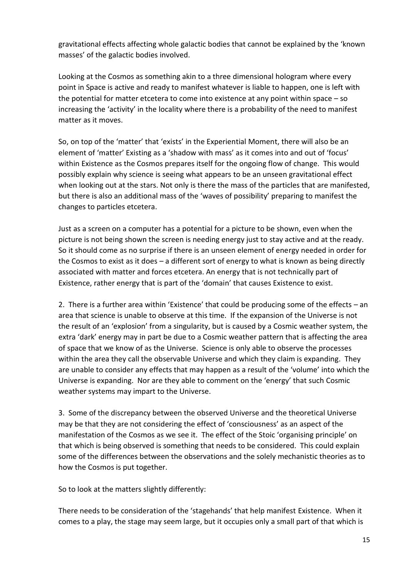gravitational effects affecting whole galactic bodies that cannot be explained by the 'known masses' of the galactic bodies involved.

Looking at the Cosmos as something akin to a three dimensional hologram where every point in Space is active and ready to manifest whatever is liable to happen, one is left with the potential for matter etcetera to come into existence at any point within space – so increasing the 'activity' in the locality where there is a probability of the need to manifest matter as it moves.

So, on top of the 'matter' that 'exists' in the Experiential Moment, there will also be an element of 'matter' Existing as a 'shadow with mass' as it comes into and out of 'focus' within Existence as the Cosmos prepares itself for the ongoing flow of change. This would possibly explain why science is seeing what appears to be an unseen gravitational effect when looking out at the stars. Not only is there the mass of the particles that are manifested, but there is also an additional mass of the 'waves of possibility' preparing to manifest the changes to particles etcetera.

Just as a screen on a computer has a potential for a picture to be shown, even when the picture is not being shown the screen is needing energy just to stay active and at the ready. So it should come as no surprise if there is an unseen element of energy needed in order for the Cosmos to exist as it does – a different sort of energy to what is known as being directly associated with matter and forces etcetera. An energy that is not technically part of Existence, rather energy that is part of the 'domain' that causes Existence to exist.

2. There is a further area within 'Existence' that could be producing some of the effects – an area that science is unable to observe at this time. If the expansion of the Universe is not the result of an 'explosion' from a singularity, but is caused by a Cosmic weather system, the extra 'dark' energy may in part be due to a Cosmic weather pattern that is affecting the area of space that we know of as the Universe. Science is only able to observe the processes within the area they call the observable Universe and which they claim is expanding. They are unable to consider any effects that may happen as a result of the 'volume' into which the Universe is expanding. Nor are they able to comment on the 'energy' that such Cosmic weather systems may impart to the Universe.

3. Some of the discrepancy between the observed Universe and the theoretical Universe may be that they are not considering the effect of 'consciousness' as an aspect of the manifestation of the Cosmos as we see it. The effect of the Stoic 'organising principle' on that which is being observed is something that needs to be considered. This could explain some of the differences between the observations and the solely mechanistic theories as to how the Cosmos is put together.

So to look at the matters slightly differently:

There needs to be consideration of the 'stagehands' that help manifest Existence. When it comes to a play, the stage may seem large, but it occupies only a small part of that which is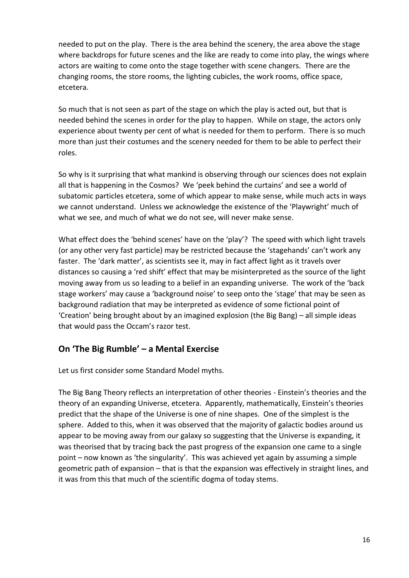needed to put on the play. There is the area behind the scenery, the area above the stage where backdrops for future scenes and the like are ready to come into play, the wings where actors are waiting to come onto the stage together with scene changers. There are the changing rooms, the store rooms, the lighting cubicles, the work rooms, office space, etcetera.

So much that is not seen as part of the stage on which the play is acted out, but that is needed behind the scenes in order for the play to happen. While on stage, the actors only experience about twenty per cent of what is needed for them to perform. There is so much more than just their costumes and the scenery needed for them to be able to perfect their roles.

So why is it surprising that what mankind is observing through our sciences does not explain all that is happening in the Cosmos? We 'peek behind the curtains' and see a world of subatomic particles etcetera, some of which appear to make sense, while much acts in ways we cannot understand. Unless we acknowledge the existence of the 'Playwright' much of what we see, and much of what we do not see, will never make sense.

What effect does the 'behind scenes' have on the 'play'? The speed with which light travels (or any other very fast particle) may be restricted because the 'stagehands' can't work any faster. The 'dark matter', as scientists see it, may in fact affect light as it travels over distances so causing a 'red shift' effect that may be misinterpreted as the source of the light moving away from us so leading to a belief in an expanding universe. The work of the 'back stage workers' may cause a 'background noise' to seep onto the 'stage' that may be seen as background radiation that may be interpreted as evidence of some fictional point of 'Creation' being brought about by an imagined explosion (the Big Bang) – all simple ideas that would pass the Occam's razor test.

### **On 'The Big Rumble' – a Mental Exercise**

Let us first consider some Standard Model myths.

The Big Bang Theory reflects an interpretation of other theories - Einstein's theories and the theory of an expanding Universe, etcetera. Apparently, mathematically, Einstein's theories predict that the shape of the Universe is one of nine shapes. One of the simplest is the sphere. Added to this, when it was observed that the majority of galactic bodies around us appear to be moving away from our galaxy so suggesting that the Universe is expanding, it was theorised that by tracing back the past progress of the expansion one came to a single point – now known as 'the singularity'. This was achieved yet again by assuming a simple geometric path of expansion – that is that the expansion was effectively in straight lines, and it was from this that much of the scientific dogma of today stems.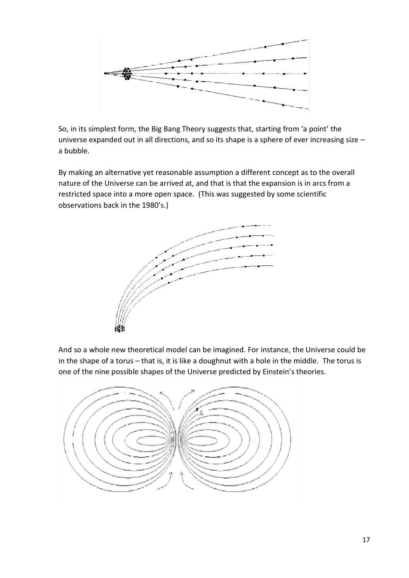

So, in its simplest form, the Big Bang Theory suggests that, starting from 'a point' the universe expanded out in all directions, and so its shape is a sphere of ever increasing size – a bubble.

By making an alternative yet reasonable assumption a different concept as to the overall nature of the Universe can be arrived at, and that is that the expansion is in arcs from a restricted space into a more open space. (This was suggested by some scientific observations back in the 1980's.)



And so a whole new theoretical model can be imagined. For instance, the Universe could be in the shape of a torus – that is, it is like a doughnut with a hole in the middle. The torus is one of the nine possible shapes of the Universe predicted by Einstein's theories.

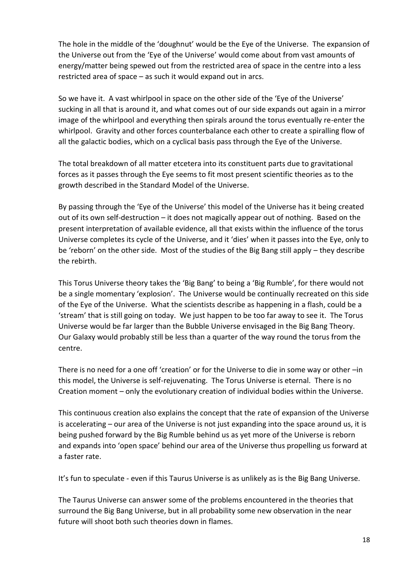The hole in the middle of the 'doughnut' would be the Eye of the Universe. The expansion of the Universe out from the 'Eye of the Universe' would come about from vast amounts of energy/matter being spewed out from the restricted area of space in the centre into a less restricted area of space – as such it would expand out in arcs.

So we have it. A vast whirlpool in space on the other side of the 'Eye of the Universe' sucking in all that is around it, and what comes out of our side expands out again in a mirror image of the whirlpool and everything then spirals around the torus eventually re-enter the whirlpool. Gravity and other forces counterbalance each other to create a spiralling flow of all the galactic bodies, which on a cyclical basis pass through the Eye of the Universe.

The total breakdown of all matter etcetera into its constituent parts due to gravitational forces as it passes through the Eye seems to fit most present scientific theories as to the growth described in the Standard Model of the Universe.

By passing through the 'Eye of the Universe' this model of the Universe has it being created out of its own self-destruction – it does not magically appear out of nothing. Based on the present interpretation of available evidence, all that exists within the influence of the torus Universe completes its cycle of the Universe, and it 'dies' when it passes into the Eye, only to be 'reborn' on the other side. Most of the studies of the Big Bang still apply – they describe the rebirth.

This Torus Universe theory takes the 'Big Bang' to being a 'Big Rumble', for there would not be a single momentary 'explosion'. The Universe would be continually recreated on this side of the Eye of the Universe. What the scientists describe as happening in a flash, could be a 'stream' that is still going on today. We just happen to be too far away to see it. The Torus Universe would be far larger than the Bubble Universe envisaged in the Big Bang Theory. Our Galaxy would probably still be less than a quarter of the way round the torus from the centre.

There is no need for a one off 'creation' or for the Universe to die in some way or other –in this model, the Universe is self-rejuvenating. The Torus Universe is eternal. There is no Creation moment – only the evolutionary creation of individual bodies within the Universe.

This continuous creation also explains the concept that the rate of expansion of the Universe is accelerating – our area of the Universe is not just expanding into the space around us, it is being pushed forward by the Big Rumble behind us as yet more of the Universe is reborn and expands into 'open space' behind our area of the Universe thus propelling us forward at a faster rate.

It's fun to speculate - even if this Taurus Universe is as unlikely as is the Big Bang Universe.

The Taurus Universe can answer some of the problems encountered in the theories that surround the Big Bang Universe, but in all probability some new observation in the near future will shoot both such theories down in flames.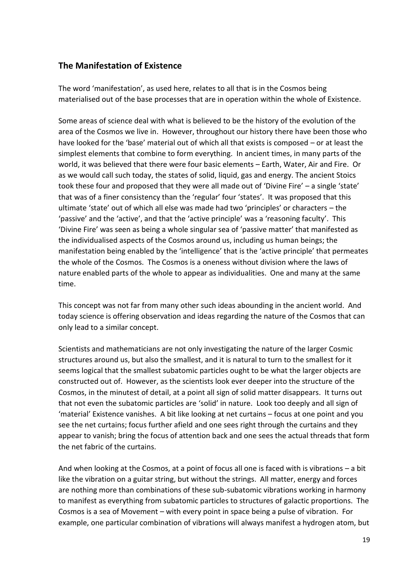### **The Manifestation of Existence**

The word 'manifestation', as used here, relates to all that is in the Cosmos being materialised out of the base processes that are in operation within the whole of Existence.

Some areas of science deal with what is believed to be the history of the evolution of the area of the Cosmos we live in. However, throughout our history there have been those who have looked for the 'base' material out of which all that exists is composed – or at least the simplest elements that combine to form everything. In ancient times, in many parts of the world, it was believed that there were four basic elements – Earth, Water, Air and Fire. Or as we would call such today, the states of solid, liquid, gas and energy. The ancient Stoics took these four and proposed that they were all made out of 'Divine Fire' – a single 'state' that was of a finer consistency than the 'regular' four 'states'. It was proposed that this ultimate 'state' out of which all else was made had two 'principles' or characters – the 'passive' and the 'active', and that the 'active principle' was a 'reasoning faculty'. This 'Divine Fire' was seen as being a whole singular sea of 'passive matter' that manifested as the individualised aspects of the Cosmos around us, including us human beings; the manifestation being enabled by the 'intelligence' that is the 'active principle' that permeates the whole of the Cosmos. The Cosmos is a oneness without division where the laws of nature enabled parts of the whole to appear as individualities. One and many at the same time.

This concept was not far from many other such ideas abounding in the ancient world. And today science is offering observation and ideas regarding the nature of the Cosmos that can only lead to a similar concept.

Scientists and mathematicians are not only investigating the nature of the larger Cosmic structures around us, but also the smallest, and it is natural to turn to the smallest for it seems logical that the smallest subatomic particles ought to be what the larger objects are constructed out of. However, as the scientists look ever deeper into the structure of the Cosmos, in the minutest of detail, at a point all sign of solid matter disappears. It turns out that not even the subatomic particles are 'solid' in nature. Look too deeply and all sign of 'material' Existence vanishes. A bit like looking at net curtains – focus at one point and you see the net curtains; focus further afield and one sees right through the curtains and they appear to vanish; bring the focus of attention back and one sees the actual threads that form the net fabric of the curtains.

And when looking at the Cosmos, at a point of focus all one is faced with is vibrations – a bit like the vibration on a guitar string, but without the strings. All matter, energy and forces are nothing more than combinations of these sub-subatomic vibrations working in harmony to manifest as everything from subatomic particles to structures of galactic proportions. The Cosmos is a sea of Movement – with every point in space being a pulse of vibration. For example, one particular combination of vibrations will always manifest a hydrogen atom, but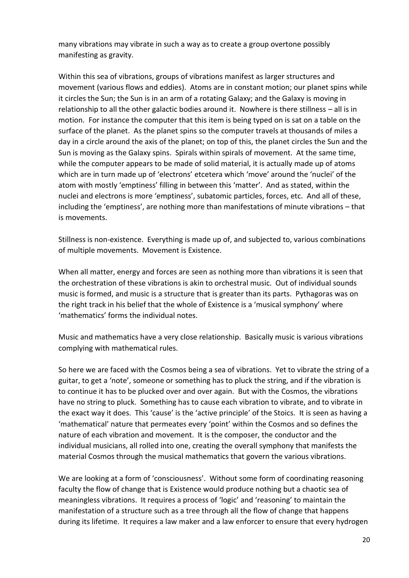many vibrations may vibrate in such a way as to create a group overtone possibly manifesting as gravity.

Within this sea of vibrations, groups of vibrations manifest as larger structures and movement (various flows and eddies). Atoms are in constant motion; our planet spins while it circles the Sun; the Sun is in an arm of a rotating Galaxy; and the Galaxy is moving in relationship to all the other galactic bodies around it. Nowhere is there stillness – all is in motion. For instance the computer that this item is being typed on is sat on a table on the surface of the planet. As the planet spins so the computer travels at thousands of miles a day in a circle around the axis of the planet; on top of this, the planet circles the Sun and the Sun is moving as the Galaxy spins. Spirals within spirals of movement. At the same time, while the computer appears to be made of solid material, it is actually made up of atoms which are in turn made up of 'electrons' etcetera which 'move' around the 'nuclei' of the atom with mostly 'emptiness' filling in between this 'matter'. And as stated, within the nuclei and electrons is more 'emptiness', subatomic particles, forces, etc. And all of these, including the 'emptiness', are nothing more than manifestations of minute vibrations – that is movements.

Stillness is non-existence. Everything is made up of, and subjected to, various combinations of multiple movements. Movement is Existence.

When all matter, energy and forces are seen as nothing more than vibrations it is seen that the orchestration of these vibrations is akin to orchestral music. Out of individual sounds music is formed, and music is a structure that is greater than its parts. Pythagoras was on the right track in his belief that the whole of Existence is a 'musical symphony' where 'mathematics' forms the individual notes.

Music and mathematics have a very close relationship. Basically music is various vibrations complying with mathematical rules.

So here we are faced with the Cosmos being a sea of vibrations. Yet to vibrate the string of a guitar, to get a 'note', someone or something has to pluck the string, and if the vibration is to continue it has to be plucked over and over again. But with the Cosmos, the vibrations have no string to pluck. Something has to cause each vibration to vibrate, and to vibrate in the exact way it does. This 'cause' is the 'active principle' of the Stoics. It is seen as having a 'mathematical' nature that permeates every 'point' within the Cosmos and so defines the nature of each vibration and movement. It is the composer, the conductor and the individual musicians, all rolled into one, creating the overall symphony that manifests the material Cosmos through the musical mathematics that govern the various vibrations.

We are looking at a form of 'consciousness'. Without some form of coordinating reasoning faculty the flow of change that is Existence would produce nothing but a chaotic sea of meaningless vibrations. It requires a process of 'logic' and 'reasoning' to maintain the manifestation of a structure such as a tree through all the flow of change that happens during its lifetime. It requires a law maker and a law enforcer to ensure that every hydrogen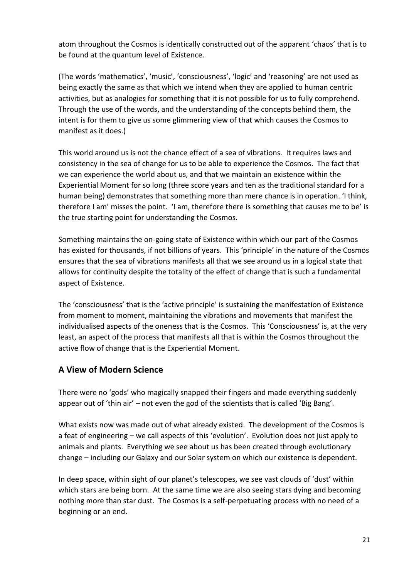atom throughout the Cosmos is identically constructed out of the apparent 'chaos' that is to be found at the quantum level of Existence.

(The words 'mathematics', 'music', 'consciousness', 'logic' and 'reasoning' are not used as being exactly the same as that which we intend when they are applied to human centric activities, but as analogies for something that it is not possible for us to fully comprehend. Through the use of the words, and the understanding of the concepts behind them, the intent is for them to give us some glimmering view of that which causes the Cosmos to manifest as it does.)

This world around us is not the chance effect of a sea of vibrations. It requires laws and consistency in the sea of change for us to be able to experience the Cosmos. The fact that we can experience the world about us, and that we maintain an existence within the Experiential Moment for so long (three score years and ten as the traditional standard for a human being) demonstrates that something more than mere chance is in operation. 'I think, therefore I am' misses the point. 'I am, therefore there is something that causes me to be' is the true starting point for understanding the Cosmos.

Something maintains the on-going state of Existence within which our part of the Cosmos has existed for thousands, if not billions of years. This 'principle' in the nature of the Cosmos ensures that the sea of vibrations manifests all that we see around us in a logical state that allows for continuity despite the totality of the effect of change that is such a fundamental aspect of Existence.

The 'consciousness' that is the 'active principle' is sustaining the manifestation of Existence from moment to moment, maintaining the vibrations and movements that manifest the individualised aspects of the oneness that is the Cosmos. This 'Consciousness' is, at the very least, an aspect of the process that manifests all that is within the Cosmos throughout the active flow of change that is the Experiential Moment.

### **A View of Modern Science**

There were no 'gods' who magically snapped their fingers and made everything suddenly appear out of 'thin air' – not even the god of the scientists that is called 'Big Bang'.

What exists now was made out of what already existed. The development of the Cosmos is a feat of engineering – we call aspects of this 'evolution'. Evolution does not just apply to animals and plants. Everything we see about us has been created through evolutionary change – including our Galaxy and our Solar system on which our existence is dependent.

In deep space, within sight of our planet's telescopes, we see vast clouds of 'dust' within which stars are being born. At the same time we are also seeing stars dying and becoming nothing more than star dust. The Cosmos is a self-perpetuating process with no need of a beginning or an end.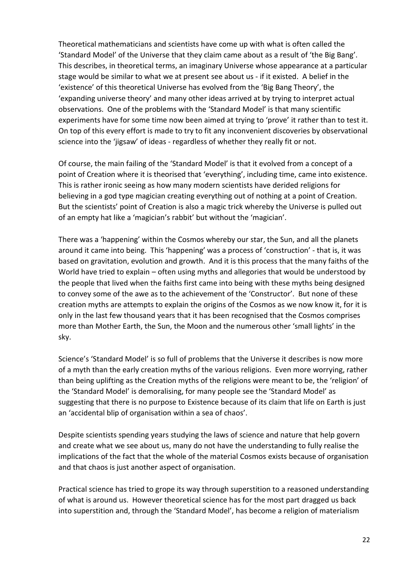Theoretical mathematicians and scientists have come up with what is often called the 'Standard Model' of the Universe that they claim came about as a result of 'the Big Bang'. This describes, in theoretical terms, an imaginary Universe whose appearance at a particular stage would be similar to what we at present see about us - if it existed. A belief in the 'existence' of this theoretical Universe has evolved from the 'Big Bang Theory', the 'expanding universe theory' and many other ideas arrived at by trying to interpret actual observations. One of the problems with the 'Standard Model' is that many scientific experiments have for some time now been aimed at trying to 'prove' it rather than to test it. On top of this every effort is made to try to fit any inconvenient discoveries by observational science into the 'jigsaw' of ideas - regardless of whether they really fit or not.

Of course, the main failing of the 'Standard Model' is that it evolved from a concept of a point of Creation where it is theorised that 'everything', including time, came into existence. This is rather ironic seeing as how many modern scientists have derided religions for believing in a god type magician creating everything out of nothing at a point of Creation. But the scientists' point of Creation is also a magic trick whereby the Universe is pulled out of an empty hat like a 'magician's rabbit' but without the 'magician'.

There was a 'happening' within the Cosmos whereby our star, the Sun, and all the planets around it came into being. This 'happening' was a process of 'construction' - that is, it was based on gravitation, evolution and growth. And it is this process that the many faiths of the World have tried to explain – often using myths and allegories that would be understood by the people that lived when the faiths first came into being with these myths being designed to convey some of the awe as to the achievement of the 'Constructor'. But none of these creation myths are attempts to explain the origins of the Cosmos as we now know it, for it is only in the last few thousand years that it has been recognised that the Cosmos comprises more than Mother Earth, the Sun, the Moon and the numerous other 'small lights' in the sky.

Science's 'Standard Model' is so full of problems that the Universe it describes is now more of a myth than the early creation myths of the various religions. Even more worrying, rather than being uplifting as the Creation myths of the religions were meant to be, the 'religion' of the 'Standard Model' is demoralising, for many people see the 'Standard Model' as suggesting that there is no purpose to Existence because of its claim that life on Earth is just an 'accidental blip of organisation within a sea of chaos'.

Despite scientists spending years studying the laws of science and nature that help govern and create what we see about us, many do not have the understanding to fully realise the implications of the fact that the whole of the material Cosmos exists because of organisation and that chaos is just another aspect of organisation.

Practical science has tried to grope its way through superstition to a reasoned understanding of what is around us. However theoretical science has for the most part dragged us back into superstition and, through the 'Standard Model', has become a religion of materialism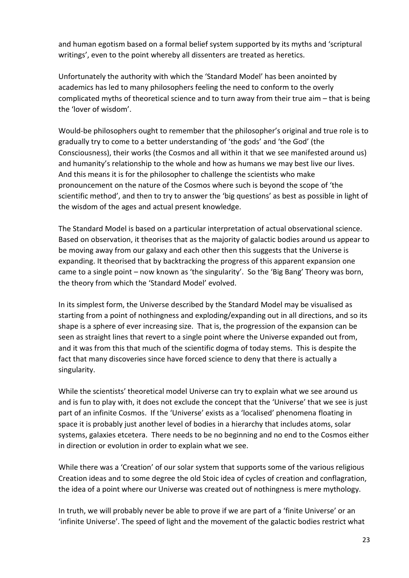and human egotism based on a formal belief system supported by its myths and 'scriptural writings', even to the point whereby all dissenters are treated as heretics.

Unfortunately the authority with which the 'Standard Model' has been anointed by academics has led to many philosophers feeling the need to conform to the overly complicated myths of theoretical science and to turn away from their true aim – that is being the 'lover of wisdom'.

Would-be philosophers ought to remember that the philosopher's original and true role is to gradually try to come to a better understanding of 'the gods' and 'the God' (the Consciousness), their works (the Cosmos and all within it that we see manifested around us) and humanity's relationship to the whole and how as humans we may best live our lives. And this means it is for the philosopher to challenge the scientists who make pronouncement on the nature of the Cosmos where such is beyond the scope of 'the scientific method', and then to try to answer the 'big questions' as best as possible in light of the wisdom of the ages and actual present knowledge.

The Standard Model is based on a particular interpretation of actual observational science. Based on observation, it theorises that as the majority of galactic bodies around us appear to be moving away from our galaxy and each other then this suggests that the Universe is expanding. It theorised that by backtracking the progress of this apparent expansion one came to a single point – now known as 'the singularity'. So the 'Big Bang' Theory was born, the theory from which the 'Standard Model' evolved.

In its simplest form, the Universe described by the Standard Model may be visualised as starting from a point of nothingness and exploding/expanding out in all directions, and so its shape is a sphere of ever increasing size. That is, the progression of the expansion can be seen as straight lines that revert to a single point where the Universe expanded out from, and it was from this that much of the scientific dogma of today stems. This is despite the fact that many discoveries since have forced science to deny that there is actually a singularity.

While the scientists' theoretical model Universe can try to explain what we see around us and is fun to play with, it does not exclude the concept that the 'Universe' that we see is just part of an infinite Cosmos. If the 'Universe' exists as a 'localised' phenomena floating in space it is probably just another level of bodies in a hierarchy that includes atoms, solar systems, galaxies etcetera. There needs to be no beginning and no end to the Cosmos either in direction or evolution in order to explain what we see.

While there was a 'Creation' of our solar system that supports some of the various religious Creation ideas and to some degree the old Stoic idea of cycles of creation and conflagration, the idea of a point where our Universe was created out of nothingness is mere mythology.

In truth, we will probably never be able to prove if we are part of a 'finite Universe' or an 'infinite Universe'. The speed of light and the movement of the galactic bodies restrict what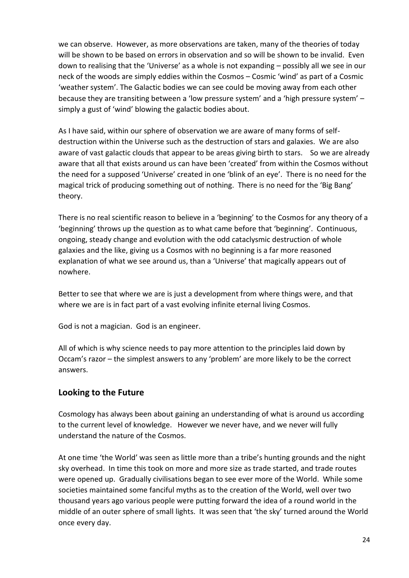we can observe. However, as more observations are taken, many of the theories of today will be shown to be based on errors in observation and so will be shown to be invalid. Even down to realising that the 'Universe' as a whole is not expanding – possibly all we see in our neck of the woods are simply eddies within the Cosmos – Cosmic 'wind' as part of a Cosmic 'weather system'. The Galactic bodies we can see could be moving away from each other because they are transiting between a 'low pressure system' and a 'high pressure system' – simply a gust of 'wind' blowing the galactic bodies about.

As I have said, within our sphere of observation we are aware of many forms of selfdestruction within the Universe such as the destruction of stars and galaxies. We are also aware of vast galactic clouds that appear to be areas giving birth to stars. So we are already aware that all that exists around us can have been 'created' from within the Cosmos without the need for a supposed 'Universe' created in one 'blink of an eye'. There is no need for the magical trick of producing something out of nothing. There is no need for the 'Big Bang' theory.

There is no real scientific reason to believe in a 'beginning' to the Cosmos for any theory of a 'beginning' throws up the question as to what came before that 'beginning'. Continuous, ongoing, steady change and evolution with the odd cataclysmic destruction of whole galaxies and the like, giving us a Cosmos with no beginning is a far more reasoned explanation of what we see around us, than a 'Universe' that magically appears out of nowhere.

Better to see that where we are is just a development from where things were, and that where we are is in fact part of a vast evolving infinite eternal living Cosmos.

God is not a magician. God is an engineer.

All of which is why science needs to pay more attention to the principles laid down by Occam's razor – the simplest answers to any 'problem' are more likely to be the correct answers.

#### **Looking to the Future**

Cosmology has always been about gaining an understanding of what is around us according to the current level of knowledge. However we never have, and we never will fully understand the nature of the Cosmos.

At one time 'the World' was seen as little more than a tribe's hunting grounds and the night sky overhead. In time this took on more and more size as trade started, and trade routes were opened up. Gradually civilisations began to see ever more of the World. While some societies maintained some fanciful myths as to the creation of the World, well over two thousand years ago various people were putting forward the idea of a round world in the middle of an outer sphere of small lights. It was seen that 'the sky' turned around the World once every day.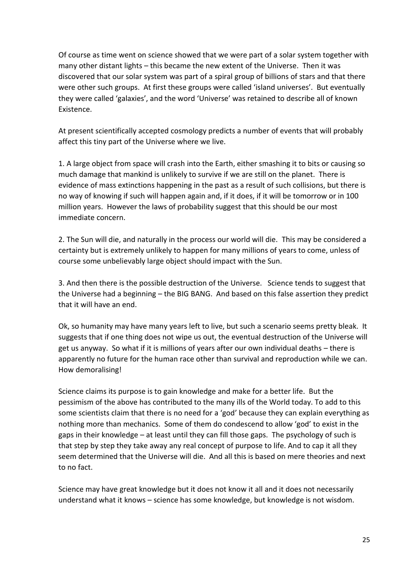Of course as time went on science showed that we were part of a solar system together with many other distant lights – this became the new extent of the Universe. Then it was discovered that our solar system was part of a spiral group of billions of stars and that there were other such groups. At first these groups were called 'island universes'. But eventually they were called 'galaxies', and the word 'Universe' was retained to describe all of known Existence.

At present scientifically accepted cosmology predicts a number of events that will probably affect this tiny part of the Universe where we live.

1. A large object from space will crash into the Earth, either smashing it to bits or causing so much damage that mankind is unlikely to survive if we are still on the planet. There is evidence of mass extinctions happening in the past as a result of such collisions, but there is no way of knowing if such will happen again and, if it does, if it will be tomorrow or in 100 million years. However the laws of probability suggest that this should be our most immediate concern.

2. The Sun will die, and naturally in the process our world will die. This may be considered a certainty but is extremely unlikely to happen for many millions of years to come, unless of course some unbelievably large object should impact with the Sun.

3. And then there is the possible destruction of the Universe. Science tends to suggest that the Universe had a beginning – the BIG BANG. And based on this false assertion they predict that it will have an end.

Ok, so humanity may have many years left to live, but such a scenario seems pretty bleak. It suggests that if one thing does not wipe us out, the eventual destruction of the Universe will get us anyway. So what if it is millions of years after our own individual deaths – there is apparently no future for the human race other than survival and reproduction while we can. How demoralising!

Science claims its purpose is to gain knowledge and make for a better life. But the pessimism of the above has contributed to the many ills of the World today. To add to this some scientists claim that there is no need for a 'god' because they can explain everything as nothing more than mechanics. Some of them do condescend to allow 'god' to exist in the gaps in their knowledge – at least until they can fill those gaps. The psychology of such is that step by step they take away any real concept of purpose to life. And to cap it all they seem determined that the Universe will die. And all this is based on mere theories and next to no fact.

Science may have great knowledge but it does not know it all and it does not necessarily understand what it knows – science has some knowledge, but knowledge is not wisdom.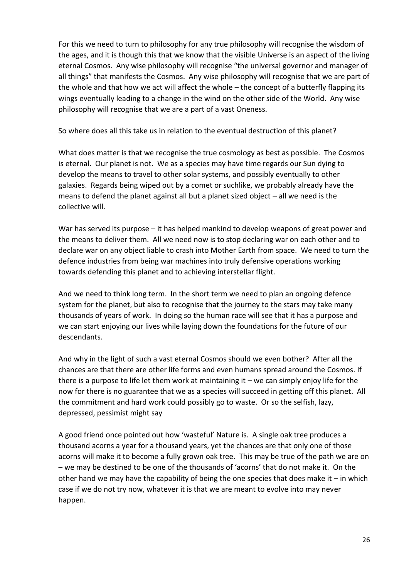For this we need to turn to philosophy for any true philosophy will recognise the wisdom of the ages, and it is though this that we know that the visible Universe is an aspect of the living eternal Cosmos. Any wise philosophy will recognise "the universal governor and manager of all things" that manifests the Cosmos. Any wise philosophy will recognise that we are part of the whole and that how we act will affect the whole – the concept of a butterfly flapping its wings eventually leading to a change in the wind on the other side of the World. Any wise philosophy will recognise that we are a part of a vast Oneness.

So where does all this take us in relation to the eventual destruction of this planet?

What does matter is that we recognise the true cosmology as best as possible. The Cosmos is eternal. Our planet is not. We as a species may have time regards our Sun dying to develop the means to travel to other solar systems, and possibly eventually to other galaxies. Regards being wiped out by a comet or suchlike, we probably already have the means to defend the planet against all but a planet sized object – all we need is the collective will.

War has served its purpose – it has helped mankind to develop weapons of great power and the means to deliver them. All we need now is to stop declaring war on each other and to declare war on any object liable to crash into Mother Earth from space. We need to turn the defence industries from being war machines into truly defensive operations working towards defending this planet and to achieving interstellar flight.

And we need to think long term. In the short term we need to plan an ongoing defence system for the planet, but also to recognise that the journey to the stars may take many thousands of years of work. In doing so the human race will see that it has a purpose and we can start enjoying our lives while laying down the foundations for the future of our descendants.

And why in the light of such a vast eternal Cosmos should we even bother? After all the chances are that there are other life forms and even humans spread around the Cosmos. If there is a purpose to life let them work at maintaining it – we can simply enjoy life for the now for there is no guarantee that we as a species will succeed in getting off this planet. All the commitment and hard work could possibly go to waste. Or so the selfish, lazy, depressed, pessimist might say

A good friend once pointed out how 'wasteful' Nature is. A single oak tree produces a thousand acorns a year for a thousand years, yet the chances are that only one of those acorns will make it to become a fully grown oak tree. This may be true of the path we are on – we may be destined to be one of the thousands of 'acorns' that do not make it. On the other hand we may have the capability of being the one species that does make it – in which case if we do not try now, whatever it is that we are meant to evolve into may never happen.